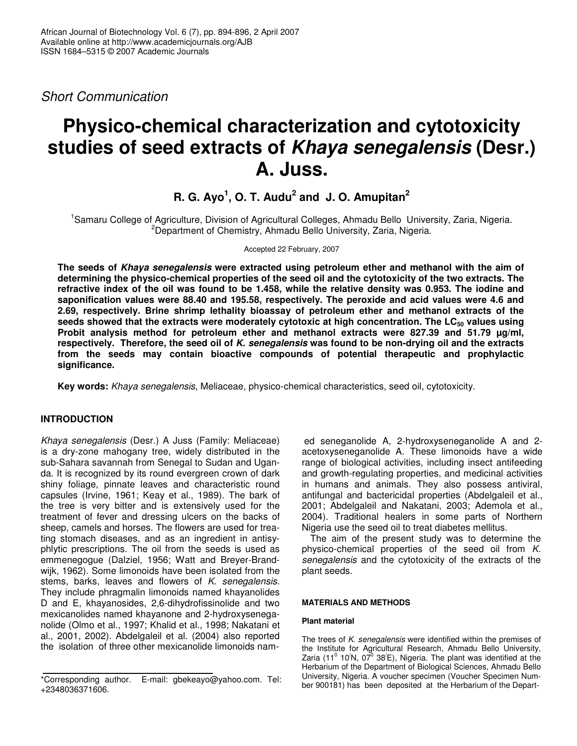*Short Communication*

# **Physico-chemical characterization and cytotoxicity studies of seed extracts of** *Khaya senegalensis* **(Desr.) A. Juss.**

**R. G. Ayo 1 , O. T. Audu 2 and J. O. Amupitan 2**

<sup>1</sup>Samaru College of Agriculture, Division of Agricultural Colleges, Ahmadu Bello University, Zaria, Nigeria. <sup>2</sup>Department of Chemistry, Ahmadu Bello University, Zaria, Nigeria.

Accepted 22 February, 2007

**The seeds of** *Khaya senegalensis* **were extracted using petroleum ether and methanol with the aim of determining the physico-chemical properties of the seed oil and the cytotoxicity of the two extracts. The** refractive index of the oil was found to be 1.458, while the relative density was 0.953. The iodine and **saponification values were 88.40 and 195.58, respectively. The peroxide and acid values were 4.6 and 2.69, respectively. Brine shrimp lethality bioassay of petroleum ether and methanol extracts of the seeds showed that the extracts were moderately cytotoxic at high concentration. The LC<sup>50</sup> values using Probit analysis method for petroleum ether and methanol extracts were 827.39 and 51.79 µg/ml, respectively. Therefore, the seed oil of** *K. senegalensis* **was found to be non-drying oil and the extracts from the seeds may contain bioactive compounds of potential therapeutic and prophylactic significance.**

**Key words:** *Khaya senegalensis*, Meliaceae, physico-chemical characteristics, seed oil, cytotoxicity.

## **INTRODUCTION**

*Khaya senegalensis* (Desr.) A Juss (Family: Meliaceae) is a dry-zone mahogany tree, widely distributed in the sub-Sahara savannah from Senegal to Sudan and Uganda. It is recognized by its round evergreen crown of dark shiny foliage, pinnate leaves and characteristic round capsules (Irvine, 1961; Keay et al., 1989). The bark of the tree is very bitter and is extensively used for the treatment of fever and dressing ulcers on the backs of sheep, camels and horses. The flowers are used for treating stomach diseases, and as an ingredient in antisyphlytic prescriptions. The oil from the seeds is used as emmenegogue (Dalziel, 1956; Watt and Breyer-Brandwijk, 1962). Some limonoids have been isolated from the stems, barks, leaves and flowers of *K. senegalensis*. They include phragmalin limonoids named khayanolides D and E, khayanosides, 2,6-dihydrofissinolide and two mexicanolides named khayanone and 2-hydroxyseneganolide (Olmo et al., 1997; Khalid et al., 1998; Nakatani et al., 2001, 2002). Abdelgaleil et al. (2004) also reported the isolation of three other mexicanolide limonoids nam-

ed seneganolide A, 2-hydroxyseneganolide A and 2 acetoxyseneganolide A. These limonoids have a wide range of biological activities, including insect antifeeding and growth-regulating properties, and medicinal activities in humans and animals. They also possess antiviral, antifungal and bactericidal properties (Abdelgaleil et al., 2001; Abdelgaleil and Nakatani, 2003; Ademola et al., 2004). Traditional healers in some parts of Northern Nigeria use the seed oil to treat diabetes mellitus.

The aim of the present study was to determine the physico-chemical properties of the seed oil from *K. senegalensis* and the cytotoxicity of the extracts of the plant seeds.

## **MATERIALS AND METHODS**

## **Plant material**

The trees of *K. senegalensis* were identified within the premises of the Institute for Agricultural Research, Ahmadu Bello University, Zaria (11<sup>0</sup> 10<sup>/</sup>N, 07<sup>0</sup> 38<sup>/</sup>E), Nigeria. The plant was identified at the Herbarium of the Department of Biological Sciences, Ahmadu Bello University, Nigeria. A voucher specimen (Voucher Specimen Number 900181) has been deposited at the Herbarium of the Depart-

<sup>\*</sup>Corresponding author. E-mail: gbekeayo@yahoo.com. Tel: +2348036371606.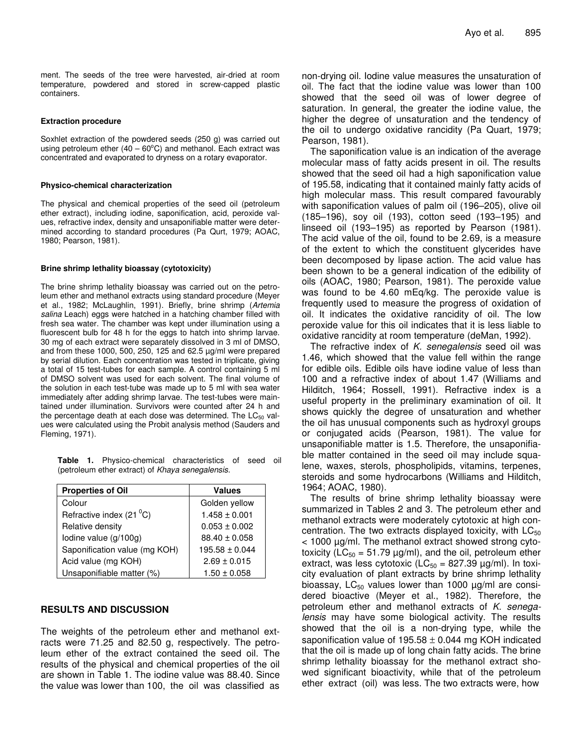ment. The seeds of the tree were harvested, air-dried at room temperature, powdered and stored in screw-capped plastic containers.

#### **Extraction procedure**

Soxhlet extraction of the powdered seeds (250 g) was carried out using petroleum ether  $(40 - 60^{\circ}$ C) and methanol. Each extract was concentrated and evaporated to dryness on a rotary evaporator.

#### **Physico-chemical characterization**

The physical and chemical properties of the seed oil (petroleum ether extract), including iodine, saponification, acid, peroxide values, refractive index, density and unsaponifiable matter were determined according to standard procedures (Pa Qurt, 1979; AOAC, 1980; Pearson, 1981).

#### **Brine shrimp lethality bioassay (cytotoxicity)**

The brine shrimp lethality bioassay was carried out on the petroleum ether and methanol extracts using standard procedure (Meyer et al., 1982; McLaughlin, 1991). Briefly, brine shrimp (*Artemia salina* Leach) eggs were hatched in a hatching chamber filled with fresh sea water. The chamber was kept under illumination using a fluorescent bulb for 48 h for the eggs to hatch into shrimp larvae. 30 mg of each extract were separately dissolved in 3 ml of DMSO, and from these 1000, 500, 250, 125 and 62.5 µg/ml were prepared by serial dilution. Each concentration was tested in triplicate, giving a total of 15 test-tubes for each sample. A control containing 5 ml of DMSO solvent was used for each solvent. The final volume of the solution in each test-tube was made up to 5 ml with sea water immediately after adding shrimp larvae. The test-tubes were maintained under illumination. Survivors were counted after 24 h and the percentage death at each dose was determined. The  $LC_{50}$  values were calculated using the Probit analysis method (Sauders and Fleming, 1971).

**Table 1.** Physico-chemical characteristics of seed oil (petroleum ether extract) of *Khaya senegalensis*.

| <b>Properties of Oil</b>         | <b>Values</b>      |  |  |  |
|----------------------------------|--------------------|--|--|--|
| Colour                           | Golden yellow      |  |  |  |
| Refractive index $(21^{\circ}C)$ | $1.458 \pm 0.001$  |  |  |  |
| Relative density                 | $0.053 \pm 0.002$  |  |  |  |
| lodine value (g/100g)            | $88.40 \pm 0.058$  |  |  |  |
| Saponification value (mg KOH)    | $195.58 \pm 0.044$ |  |  |  |
| Acid value (mg KOH)              | $2.69 \pm 0.015$   |  |  |  |
| Unsaponifiable matter (%)        | $1.50 \pm 0.058$   |  |  |  |

## **RESULTS AND DISCUSSION**

The weights of the petroleum ether and methanol extracts were 71.25 and 82.50 g, respectively. The petroleum ether of the extract contained the seed oil. The results of the physical and chemical properties of the oil are shown in Table 1. The iodine value was 88.40. Since the value was lower than 100, the oil was classified as non-drying oil. Iodine value measures the unsaturation of oil. The fact that the iodine value was lower than 100 showed that the seed oil was of lower degree of saturation. In general, the greater the iodine value, the higher the degree of unsaturation and the tendency of the oil to undergo oxidative rancidity (Pa Quart, 1979; Pearson, 1981).

The saponification value is an indication of the average molecular mass of fatty acids present in oil. The results showed that the seed oil had a high saponification value of 195.58, indicating that it contained mainly fatty acids of high molecular mass. This result compared favourably with saponification values of palm oil (196–205), olive oil (185–196), soy oil (193), cotton seed (193–195) and linseed oil (193–195) as reported by Pearson (1981). The acid value of the oil, found to be 2.69, is a measure of the extent to which the constituent glycerides have been decomposed by lipase action. The acid value has been shown to be a general indication of the edibility of oils (AOAC, 1980; Pearson, 1981). The peroxide value was found to be 4.60 mEq/kg. The peroxide value is frequently used to measure the progress of oxidation of oil. It indicates the oxidative rancidity of oil. The low peroxide value for this oil indicates that it is less liable to oxidative rancidity at room temperature (deMan, 1992).

The refractive index of *K. senegalensis* seed oil was 1.46, which showed that the value fell within the range for edible oils. Edible oils have iodine value of less than 100 and a refractive index of about 1.47 (Williams and Hilditch, 1964; Rossell, 1991). Refractive index is a useful property in the preliminary examination of oil. It shows quickly the degree of unsaturation and whether the oil has unusual components such as hydroxyl groups or conjugated acids (Pearson, 1981). The value for unsaponifiable matter is 1.5. Therefore, the unsaponifiable matter contained in the seed oil may include squalene, waxes, sterols, phospholipids, vitamins, terpenes, steroids and some hydrocarbons (Williams and Hilditch, 1964; AOAC, 1980).

The results of brine shrimp lethality bioassay were summarized in Tables 2 and 3. The petroleum ether and methanol extracts were moderately cytotoxic at high concentration. The two extracts displayed toxicity, with  $LC_{50}$ < 1000 µg/ml. The methanol extract showed strong cytotoxicity (LC<sub>50</sub> = 51.79  $\mu$ g/ml), and the oil, petroleum ether extract, was less cytotoxic ( $LC_{50}$  = 827.39  $\mu$ g/ml). In toxicity evaluation of plant extracts by brine shrimp lethality bioassay,  $LC_{50}$  values lower than 1000  $\mu$ g/ml are considered bioactive (Meyer et al., 1982). Therefore, the petroleum ether and methanol extracts of *K. senegalensis* may have some biological activity. The results showed that the oil is a non-drying type, while the saponification value of  $195.58 \pm 0.044$  mg KOH indicated that the oil is made up of long chain fatty acids. The brine shrimp lethality bioassay for the methanol extract showed significant bioactivity, while that of the petroleum ether extract (oil) was less. The two extracts were, how